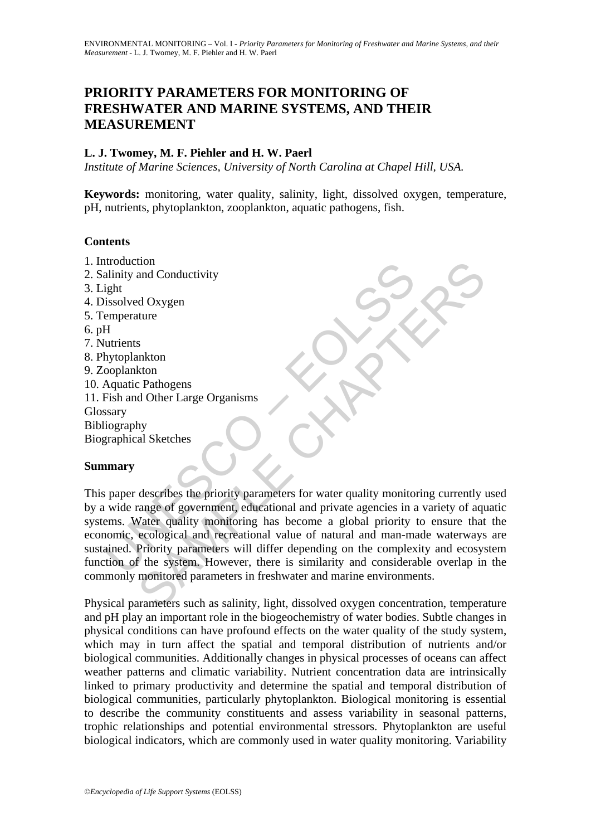# **PRIORITY PARAMETERS FOR MONITORING OF FRESHWATER AND MARINE SYSTEMS, AND THEIR MEASUREMENT**

### **L. J. Twomey, M. F. Piehler and H. W. Paerl**

*Institute of Marine Sciences, University of North Carolina at Chapel Hill, USA.* 

**Keywords:** monitoring, water quality, salinity, light, dissolved oxygen, temperature, pH, nutrients, phytoplankton, zooplankton, aquatic pathogens, fish.

### **Contents**

- 1. Introduction
- 2. Salinity and Conductivity
- 3. Light
- 4. Dissolved Oxygen
- 5. Temperature
- 6. pH
- 7. Nutrients
- 8. Phytoplankton
- 9. Zooplankton
- 10. Aquatic Pathogens
- 11. Fish and Other Large Organisms

Glossary

Bibliography

Biographical Sketches

### **Summary**

Mainity and Conductivity<br>
aight<br>
ight<br>
ight<br>
ight<br>
issolved Oxygen<br>
emperature<br>
H<br>
Hutrients<br>
Mytoplankton<br>
ooplankton<br>
Aquatic Pathogens<br>
Signary<br>
ilography<br>
graphical Sketches<br> **mary**<br>
spaper describes the priority param tion<br>
and Conductivity<br>
and Conductivity<br>
al Goxygen<br>
s<br>
s<br>
S<br>
S<br>
S<br>
A O Consent<br>
a Chapter<br>
S<br>
S<br>
d O ther Large Organisms<br>
A<br>
A O ther Large Organisms<br>
by<br>
al Sketches<br>
cological and private agencies in a variety of aqua This paper describes the priority parameters for water quality monitoring currently used by a wide range of government, educational and private agencies in a variety of aquatic systems. Water quality monitoring has become a global priority to ensure that the economic, ecological and recreational value of natural and man-made waterways are sustained. Priority parameters will differ depending on the complexity and ecosystem function of the system. However, there is similarity and considerable overlap in the commonly monitored parameters in freshwater and marine environments.

Physical parameters such as salinity, light, dissolved oxygen concentration, temperature and pH play an important role in the biogeochemistry of water bodies. Subtle changes in physical conditions can have profound effects on the water quality of the study system, which may in turn affect the spatial and temporal distribution of nutrients and/or biological communities. Additionally changes in physical processes of oceans can affect weather patterns and climatic variability. Nutrient concentration data are intrinsically linked to primary productivity and determine the spatial and temporal distribution of biological communities, particularly phytoplankton. Biological monitoring is essential to describe the community constituents and assess variability in seasonal patterns, trophic relationships and potential environmental stressors. Phytoplankton are useful biological indicators, which are commonly used in water quality monitoring. Variability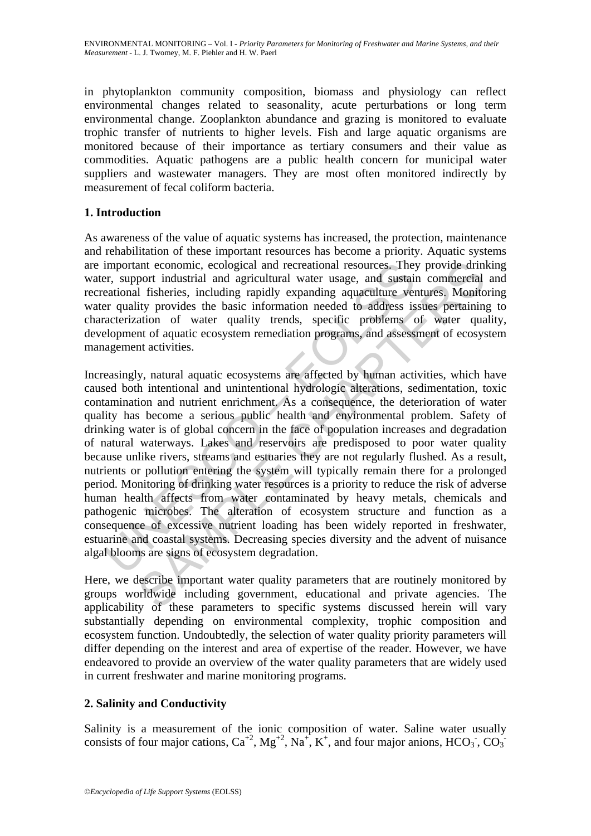in phytoplankton community composition, biomass and physiology can reflect environmental changes related to seasonality, acute perturbations or long term environmental change. Zooplankton abundance and grazing is monitored to evaluate trophic transfer of nutrients to higher levels. Fish and large aquatic organisms are monitored because of their importance as tertiary consumers and their value as commodities. Aquatic pathogens are a public health concern for municipal water suppliers and wastewater managers. They are most often monitored indirectly by measurement of fecal coliform bacteria.

### **1. Introduction**

As awareness of the value of aquatic systems has increased, the protection, maintenance and rehabilitation of these important resources has become a priority. Aquatic systems are important economic, ecological and recreational resources. They provide drinking water, support industrial and agricultural water usage, and sustain commercial and recreational fisheries, including rapidly expanding aquaculture ventures. Monitoring water quality provides the basic information needed to address issues pertaining to characterization of water quality trends, specific problems of water quality, development of aquatic ecosystem remediation programs, and assessment of ecosystem management activities.

important economic, ecological and recreational resources. They<br>entimal important economic, ecological and agricultural water usage, and sustain<br>eational fisheries, including rapidly expanding aquaculture ver<br>er quality pr and economic, ecological and recreational resources. They provide drint<br>port industrial and agricultural water usage, and sustain commercial<br>al fisheries, including rapidly expanding aquaculture ventures. Monito<br>ity provid Increasingly, natural aquatic ecosystems are affected by human activities, which have caused both intentional and unintentional hydrologic alterations, sedimentation, toxic contamination and nutrient enrichment. As a consequence, the deterioration of water quality has become a serious public health and environmental problem. Safety of drinking water is of global concern in the face of population increases and degradation of natural waterways. Lakes and reservoirs are predisposed to poor water quality because unlike rivers, streams and estuaries they are not regularly flushed. As a result, nutrients or pollution entering the system will typically remain there for a prolonged period. Monitoring of drinking water resources is a priority to reduce the risk of adverse human health affects from water contaminated by heavy metals, chemicals and pathogenic microbes. The alteration of ecosystem structure and function as a consequence of excessive nutrient loading has been widely reported in freshwater, estuarine and coastal systems. Decreasing species diversity and the advent of nuisance algal blooms are signs of ecosystem degradation.

Here, we describe important water quality parameters that are routinely monitored by groups worldwide including government, educational and private agencies. The applicability of these parameters to specific systems discussed herein will vary substantially depending on environmental complexity, trophic composition and ecosystem function. Undoubtedly, the selection of water quality priority parameters will differ depending on the interest and area of expertise of the reader. However, we have endeavored to provide an overview of the water quality parameters that are widely used in current freshwater and marine monitoring programs.

## **2. Salinity and Conductivity**

Salinity is a measurement of the ionic composition of water. Saline water usually consists of four major cations,  $Ca^{+2}$ ,  $Mg^{+2}$ ,  $Na^{+}$ ,  $K^{+}$ , and four major anions,  $HCO_3$ ,  $CO_3$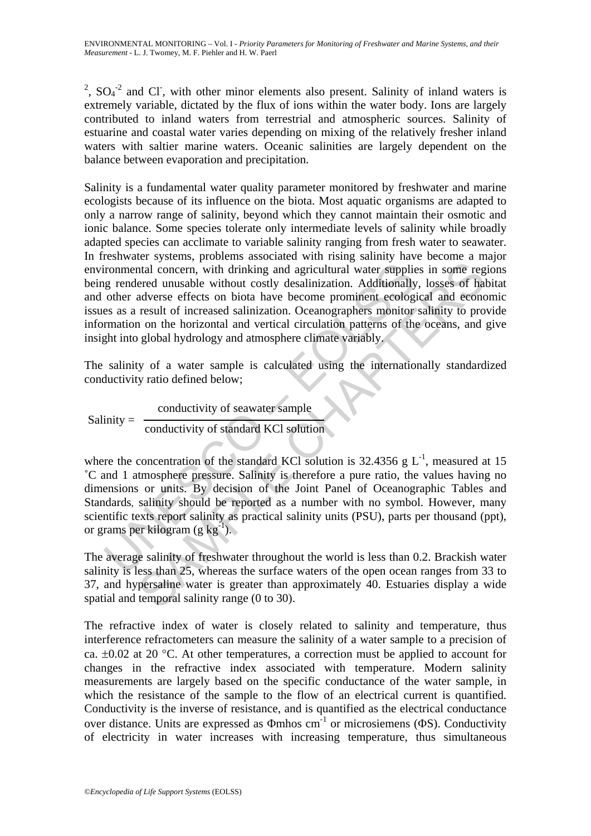<sup>2</sup>,  $SO_4$ <sup>-2</sup> and Cl<sup>-</sup>, with other minor elements also present. Salinity of inland waters is extremely variable, dictated by the flux of ions within the water body. Ions are largely contributed to inland waters from terrestrial and atmospheric sources. Salinity of estuarine and coastal water varies depending on mixing of the relatively fresher inland waters with saltier marine waters. Oceanic salinities are largely dependent on the balance between evaporation and precipitation.

ironmental concern, with drinking and agricultural water supplies<br>
grendered unusable without costly desalinization. Additionally<br>
other adverse effects on biota have become prominent ecolog<br>
es as a result of increased s intal concern, with drinking and agricultural water supplies in some regenced unusable without costly desalinization. Additionally, losses of hadverse effects on biota have become prominent ecological and econce product r Salinity is a fundamental water quality parameter monitored by freshwater and marine ecologists because of its influence on the biota. Most aquatic organisms are adapted to only a narrow range of salinity, beyond which they cannot maintain their osmotic and ionic balance. Some species tolerate only intermediate levels of salinity while broadly adapted species can acclimate to variable salinity ranging from fresh water to seawater. In freshwater systems, problems associated with rising salinity have become a major environmental concern, with drinking and agricultural water supplies in some regions being rendered unusable without costly desalinization. Additionally, losses of habitat and other adverse effects on biota have become prominent ecological and economic issues as a result of increased salinization. Oceanographers monitor salinity to provide information on the horizontal and vertical circulation patterns of the oceans, and give insight into global hydrology and atmosphere climate variably.

The salinity of a water sample is calculated using the internationally standardized conductivity ratio defined below;

 $Salinity =$ conductivity of seawater sample conductivity of standard KCl solution

where the concentration of the standard KCl solution is 32.4356 g  $L^{-1}$ , measured at 15 ˚C and 1 atmosphere pressure. Salinity is therefore a pure ratio, the values having no dimensions or units. By decision of the Joint Panel of Oceanographic Tables and Standards, salinity should be reported as a number with no symbol. However, many scientific texts report salinity as practical salinity units (PSU), parts per thousand (ppt), or grams per kilogram (g kg<sup>-1</sup>).

The average salinity of freshwater throughout the world is less than 0.2. Brackish water salinity is less than 25, whereas the surface waters of the open ocean ranges from 33 to 37, and hypersaline water is greater than approximately 40. Estuaries display a wide spatial and temporal salinity range (0 to 30).

The refractive index of water is closely related to salinity and temperature, thus interference refractometers can measure the salinity of a water sample to a precision of ca.  $\pm 0.02$  at 20 °C. At other temperatures, a correction must be applied to account for changes in the refractive index associated with temperature. Modern salinity measurements are largely based on the specific conductance of the water sample, in which the resistance of the sample to the flow of an electrical current is quantified. Conductivity is the inverse of resistance, and is quantified as the electrical conductance over distance. Units are expressed as  $\Phi$ mhos cm<sup>-1</sup> or microsiemens ( $\Phi$ S). Conductivity of electricity in water increases with increasing temperature, thus simultaneous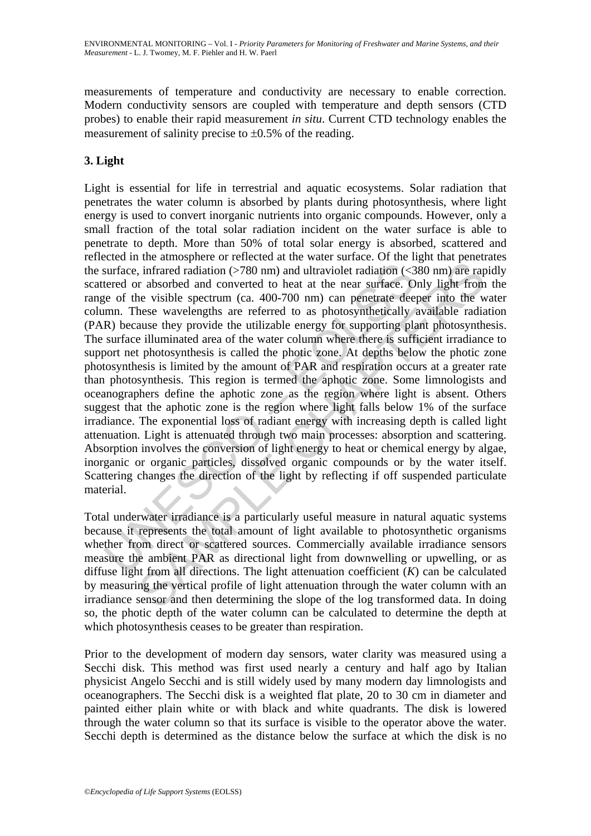measurements of temperature and conductivity are necessary to enable correction. Modern conductivity sensors are coupled with temperature and depth sensors (CTD probes) to enable their rapid measurement *in situ*. Current CTD technology enables the measurement of salinity precise to  $\pm 0.5\%$  of the reading.

### **3. Light**

surface, infrared radiation (>780 nm) and ultraviolet radiation (<3<br>surface, infrared radiation (>780 nm) and ultraviolet radiation (<3<br>tered or absorbed and converted to heat at the near surface. On<br>the surface of the vis are another of the contract and the matter and the best can be well and point are even the set with the energy in the present of the log min and the near surface. Only light from the wisible spectrum (ca. 400-700 nm) can Light is essential for life in terrestrial and aquatic ecosystems. Solar radiation that penetrates the water column is absorbed by plants during photosynthesis, where light energy is used to convert inorganic nutrients into organic compounds. However, only a small fraction of the total solar radiation incident on the water surface is able to penetrate to depth. More than 50% of total solar energy is absorbed, scattered and reflected in the atmosphere or reflected at the water surface. Of the light that penetrates the surface, infrared radiation  $($ >780 nm) and ultraviolet radiation  $($ <380 nm) are rapidly scattered or absorbed and converted to heat at the near surface. Only light from the range of the visible spectrum (ca. 400-700 nm) can penetrate deeper into the water column. These wavelengths are referred to as photosynthetically available radiation (PAR) because they provide the utilizable energy for supporting plant photosynthesis. The surface illuminated area of the water column where there is sufficient irradiance to support net photosynthesis is called the photic zone. At depths below the photic zone photosynthesis is limited by the amount of PAR and respiration occurs at a greater rate than photosynthesis. This region is termed the aphotic zone. Some limnologists and oceanographers define the aphotic zone as the region where light is absent. Others suggest that the aphotic zone is the region where light falls below 1% of the surface irradiance. The exponential loss of radiant energy with increasing depth is called light attenuation. Light is attenuated through two main processes: absorption and scattering. Absorption involves the conversion of light energy to heat or chemical energy by algae, inorganic or organic particles, dissolved organic compounds or by the water itself. Scattering changes the direction of the light by reflecting if off suspended particulate material.

Total underwater irradiance is a particularly useful measure in natural aquatic systems because it represents the total amount of light available to photosynthetic organisms whether from direct or scattered sources. Commercially available irradiance sensors measure the ambient PAR as directional light from downwelling or upwelling, or as diffuse light from all directions. The light attenuation coefficient (*K*) can be calculated by measuring the vertical profile of light attenuation through the water column with an irradiance sensor and then determining the slope of the log transformed data. In doing so, the photic depth of the water column can be calculated to determine the depth at which photosynthesis ceases to be greater than respiration.

Prior to the development of modern day sensors, water clarity was measured using a Secchi disk. This method was first used nearly a century and half ago by Italian physicist Angelo Secchi and is still widely used by many modern day limnologists and oceanographers. The Secchi disk is a weighted flat plate, 20 to 30 cm in diameter and painted either plain white or with black and white quadrants. The disk is lowered through the water column so that its surface is visible to the operator above the water. Secchi depth is determined as the distance below the surface at which the disk is no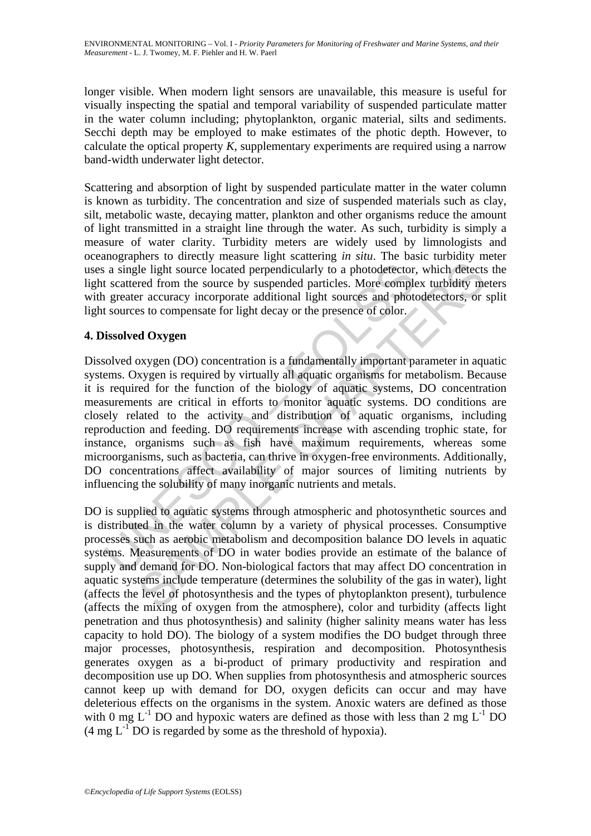longer visible. When modern light sensors are unavailable, this measure is useful for visually inspecting the spatial and temporal variability of suspended particulate matter in the water column including; phytoplankton, organic material, silts and sediments. Secchi depth may be employed to make estimates of the photic depth. However, to calculate the optical property *K*, supplementary experiments are required using a narrow band-width underwater light detector.

Scattering and absorption of light by suspended particulate matter in the water column is known as turbidity. The concentration and size of suspended materials such as clay, silt, metabolic waste, decaying matter, plankton and other organisms reduce the amount of light transmitted in a straight line through the water. As such, turbidity is simply a measure of water clarity. Turbidity meters are widely used by limnologists and oceanographers to directly measure light scattering *in situ*. The basic turbidity meter uses a single light source located perpendicularly to a photodetector, which detects the light scattered from the source by suspended particles. More complex turbidity meters with greater accuracy incorporate additional light sources and photodetectors, or split light sources to compensate for light decay or the presence of color.

### **4. Dissolved Oxygen**

a single light source located perpendicularly to a photodetector.<br>
t scattered from the source by suspended particles. More comple<br>
greater accuracy incorporate additional light sources and photodetector.<br> **issolved Oxygen** The light source located perpendicularly to a photodetector, which detects<br>the light source located perpendicularly to a photodetector, which detects<br>red from the source by suspended particles. More complex turbidity me<br>r Dissolved oxygen (DO) concentration is a fundamentally important parameter in aquatic systems. Oxygen is required by virtually all aquatic organisms for metabolism. Because it is required for the function of the biology of aquatic systems, DO concentration measurements are critical in efforts to monitor aquatic systems. DO conditions are closely related to the activity and distribution of aquatic organisms, including reproduction and feeding. DO requirements increase with ascending trophic state, for instance, organisms such as fish have maximum requirements, whereas some microorganisms, such as bacteria, can thrive in oxygen-free environments. Additionally, DO concentrations affect availability of major sources of limiting nutrients by influencing the solubility of many inorganic nutrients and metals.

DO is supplied to aquatic systems through atmospheric and photosynthetic sources and is distributed in the water column by a variety of physical processes. Consumptive processes such as aerobic metabolism and decomposition balance DO levels in aquatic systems. Measurements of DO in water bodies provide an estimate of the balance of supply and demand for DO. Non-biological factors that may affect DO concentration in aquatic systems include temperature (determines the solubility of the gas in water), light (affects the level of photosynthesis and the types of phytoplankton present), turbulence (affects the mixing of oxygen from the atmosphere), color and turbidity (affects light penetration and thus photosynthesis) and salinity (higher salinity means water has less capacity to hold DO). The biology of a system modifies the DO budget through three major processes, photosynthesis, respiration and decomposition. Photosynthesis generates oxygen as a bi-product of primary productivity and respiration and decomposition use up DO. When supplies from photosynthesis and atmospheric sources cannot keep up with demand for DO, oxygen deficits can occur and may have deleterious effects on the organisms in the system. Anoxic waters are defined as those with 0 mg  $L^{-1}$  DO and hypoxic waters are defined as those with less than 2 mg  $L^{-1}$  DO  $(4 \text{ mg } L^1$  DO is regarded by some as the threshold of hypoxia).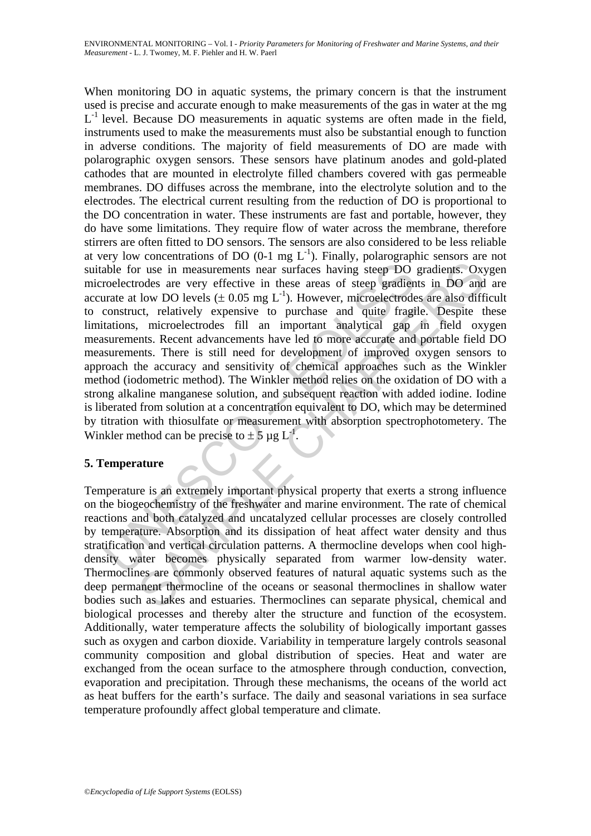able for use in measurements near surfaces having steep DO<br>roelectrodes are very effective in these areas of steep gradien<br>rate at low DO levels ( $\pm$  0.05 mg L<sup>-1</sup>). However, microelectrode<br>construct, relatively expensiv r use in measurements near surfaces having steep DO gradients. Oxyodes are very effective in these areas of steep gradients in DO and low DO levels ( $\pm 0.05$  mg L<sup>1</sup>). However, microelectrodes are also difficult can appr When monitoring DO in aquatic systems, the primary concern is that the instrument used is precise and accurate enough to make measurements of the gas in water at the mg  $L^{-1}$  level. Because DO measurements in aquatic systems are often made in the field, instruments used to make the measurements must also be substantial enough to function in adverse conditions. The majority of field measurements of DO are made with polarographic oxygen sensors. These sensors have platinum anodes and gold-plated cathodes that are mounted in electrolyte filled chambers covered with gas permeable membranes. DO diffuses across the membrane, into the electrolyte solution and to the electrodes. The electrical current resulting from the reduction of DO is proportional to the DO concentration in water. These instruments are fast and portable, however, they do have some limitations. They require flow of water across the membrane, therefore stirrers are often fitted to DO sensors. The sensors are also considered to be less reliable at very low concentrations of DO  $(0-1 \text{ mg } L^{-1})$ . Finally, polarographic sensors are not suitable for use in measurements near surfaces having steep DO gradients. Oxygen microelectrodes are very effective in these areas of steep gradients in DO and are accurate at low DO levels  $(\pm 0.05 \text{ mg L}^{-1})$ . However, microelectrodes are also difficult to construct, relatively expensive to purchase and quite fragile. Despite these limitations, microelectrodes fill an important analytical gap in field oxygen measurements. Recent advancements have led to more accurate and portable field DO measurements. There is still need for development of improved oxygen sensors to approach the accuracy and sensitivity of chemical approaches such as the Winkler method (iodometric method). The Winkler method relies on the oxidation of DO with a strong alkaline manganese solution, and subsequent reaction with added iodine. Iodine is liberated from solution at a concentration equivalent to DO, which may be determined by titration with thiosulfate or measurement with absorption spectrophotometery. The Winkler method can be precise to  $\pm$  5 µg L<sup>1</sup>.

## **5. Temperature**

Temperature is an extremely important physical property that exerts a strong influence on the biogeochemistry of the freshwater and marine environment. The rate of chemical reactions and both catalyzed and uncatalyzed cellular processes are closely controlled by temperature. Absorption and its dissipation of heat affect water density and thus stratification and vertical circulation patterns. A thermocline develops when cool highdensity water becomes physically separated from warmer low-density water. Thermoclines are commonly observed features of natural aquatic systems such as the deep permanent thermocline of the oceans or seasonal thermoclines in shallow water bodies such as lakes and estuaries. Thermoclines can separate physical, chemical and biological processes and thereby alter the structure and function of the ecosystem. Additionally, water temperature affects the solubility of biologically important gasses such as oxygen and carbon dioxide. Variability in temperature largely controls seasonal community composition and global distribution of species. Heat and water are exchanged from the ocean surface to the atmosphere through conduction, convection, evaporation and precipitation. Through these mechanisms, the oceans of the world act as heat buffers for the earth's surface. The daily and seasonal variations in sea surface temperature profoundly affect global temperature and climate.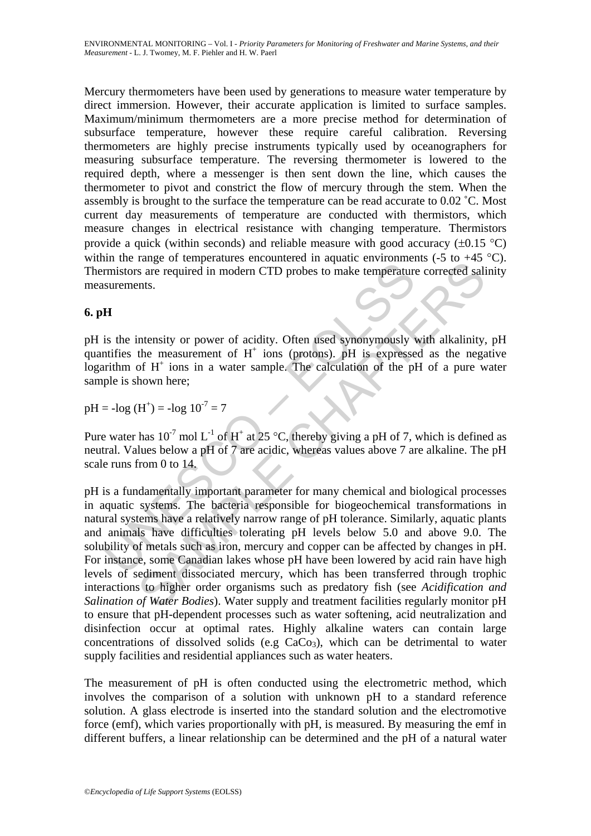Mercury thermometers have been used by generations to measure water temperature by direct immersion. However, their accurate application is limited to surface samples. Maximum/minimum thermometers are a more precise method for determination of subsurface temperature, however these require careful calibration. Reversing thermometers are highly precise instruments typically used by oceanographers for measuring subsurface temperature. The reversing thermometer is lowered to the required depth, where a messenger is then sent down the line, which causes the thermometer to pivot and constrict the flow of mercury through the stem. When the assembly is brought to the surface the temperature can be read accurate to 0.02 ˚C. Most current day measurements of temperature are conducted with thermistors, which measure changes in electrical resistance with changing temperature. Thermistors provide a quick (within seconds) and reliable measure with good accuracy  $(\pm 0.15 \degree C)$ within the range of temperatures encountered in aquatic environments  $(-5 \text{ to } +45 \text{ °C})$ . Thermistors are required in modern CTD probes to make temperature corrected salinity measurements.

## **6. pH**

pH is the intensity or power of acidity. Often used synonymously with alkalinity, pH quantifies the measurement of  $H^+$  ions (protons). pH is expressed as the negative  $logarithm$  of  $H<sup>+</sup>$  ions in a water sample. The calculation of the pH of a pure water sample is shown here;

 $pH = -\log(H^+) = -\log 10^{-7} = 7$ 

Pure water has  $10^{-7}$  mol L<sup>-1</sup> of H<sup>+</sup> at 25 °C, thereby giving a pH of 7, which is defined as neutral. Values below a pH of 7 are acidic, whereas values above 7 are alkaline. The pH scale runs from 0 to 14.

In the large of competitions choosing in a sphere competent in the temperature<br>
in mistors are required in modern CTD probes to make temperature<br>
surements.<br>
IF<br>
IS the intensity or power of acidity. Often used synonymous Fauge of campenatures checken<br>the magnet environments (so  $43$  m and the temperature corrected said<br>intensity or power of acidity. Often used synonymously with alkalinity,<br>the measurement of H<sup>+</sup> ions (protons). pH is exp pH is a fundamentally important parameter for many chemical and biological processes in aquatic systems. The bacteria responsible for biogeochemical transformations in natural systems have a relatively narrow range of pH tolerance. Similarly, aquatic plants and animals have difficulties tolerating pH levels below 5.0 and above 9.0. The solubility of metals such as iron, mercury and copper can be affected by changes in pH. For instance, some Canadian lakes whose pH have been lowered by acid rain have high levels of sediment dissociated mercury, which has been transferred through trophic interactions to higher order organisms such as predatory fish (see *Acidification and Salination of Water Bodies*). Water supply and treatment facilities regularly monitor pH to ensure that pH-dependent processes such as water softening, acid neutralization and disinfection occur at optimal rates. Highly alkaline waters can contain large concentrations of dissolved solids (e.g  $CaCo<sub>3</sub>$ ), which can be detrimental to water supply facilities and residential appliances such as water heaters.

The measurement of pH is often conducted using the electrometric method, which involves the comparison of a solution with unknown pH to a standard reference solution. A glass electrode is inserted into the standard solution and the electromotive force (emf), which varies proportionally with pH, is measured. By measuring the emf in different buffers, a linear relationship can be determined and the pH of a natural water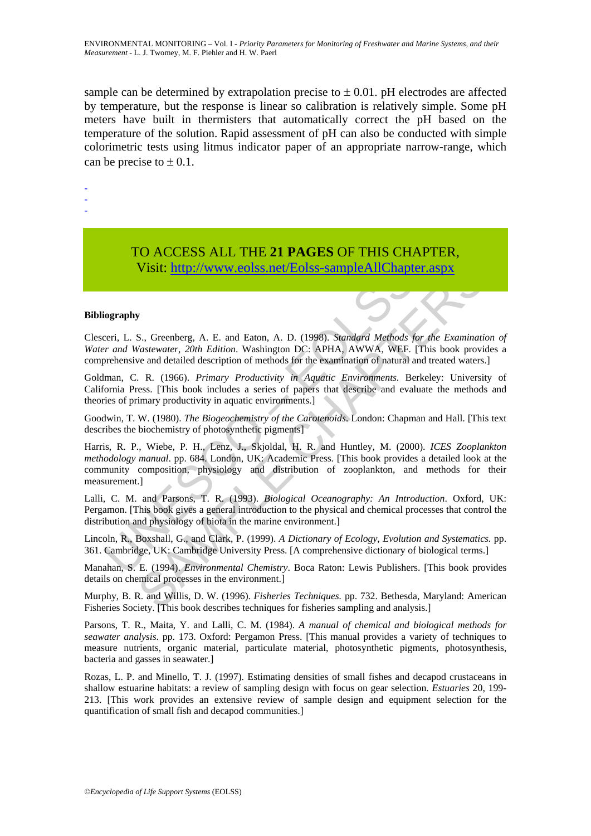sample can be determined by extrapolation precise to  $\pm$  0.01. pH electrodes are affected by temperature, but the response is linear so calibration is relatively simple. Some pH meters have built in thermisters that automatically correct the pH based on the temperature of the solution. Rapid assessment of pH can also be conducted with simple colorimetric tests using litmus indicator paper of an appropriate narrow-range, which can be precise to  $\pm$  0.1.

- -

-

## TO ACCESS ALL THE **21 PAGES** OF THIS CHAPTER, Visit: http://www.eolss.net/Eolss-sampleAllChapter.aspx

### **Bibliography**

Clesceri, L. S., Greenberg, A. E. and Eaton, A. D. (1998). *Standard Methods for the Examination of Water and Wastewater, 20th Edition*. Washington DC: APHA, AWWA, WEF. [This book provides a comprehensive and detailed description of methods for the examination of natural and treated waters.]

Goldman, C. R. (1966). *Primary Productivity in Aquatic Environments*. Berkeley: University of California Press. [This book includes a series of papers that describe and evaluate the methods and theories of primary productivity in aquatic environments.]

Goodwin, T. W. (1980). *The Biogeochemistry of the Carotenoids*. London: Chapman and Hall. [This text describes the biochemistry of photosynthetic pigments]

Visit: http://www.eolss.net/Eolss-sampleAllChaptu<br>
iography<br>
iography<br>
iography<br>
iography<br>
iography<br>
iography<br>
iography<br>
iography<br>
iography<br>
iman, C. R. (1968). *Primary Productivity in Aquatic Expiralian CDC*: APHA, AWWA, **Visit:** http://www.colss.net/Eolss-sampleAllChapter.aspx<br>
S., Greenberg, A. E. and Eaton, A. D. (1998). *Sundard Melods for the Examination*<br>
S., Greenberg, A. E. and Eaton, A. D. (1998). *Sundard Melods for the Examinat* Harris, R. P., Wiebe, P. H., Lenz, J., Skjoldal, H. R. and Huntley, M. (2000). *ICES Zooplankton methodology manual*. pp. 684. London, UK: Academic Press. [This book provides a detailed look at the community composition, physiology and distribution of zooplankton, and methods for their measurement.]

Lalli, C. M. and Parsons, T. R. (1993). *Biological Oceanography: An Introduction*. Oxford, UK: Pergamon. [This book gives a general introduction to the physical and chemical processes that control the distribution and physiology of biota in the marine environment.]

Lincoln, R., Boxshall, G., and Clark, P. (1999). *A Dictionary of Ecology, Evolution and Systematics.* pp. 361. Cambridge, UK: Cambridge University Press. [A comprehensive dictionary of biological terms.]

Manahan, S. E. (1994). *Environmental Chemistry*. Boca Raton: Lewis Publishers. [This book provides details on chemical processes in the environment.]

Murphy, B. R. and Willis, D. W. (1996). *Fisheries Techniques.* pp. 732. Bethesda, Maryland: American Fisheries Society. [This book describes techniques for fisheries sampling and analysis.]

Parsons, T. R., Maita, Y. and Lalli, C. M. (1984). *A manual of chemical and biological methods for seawater analysis*. pp. 173. Oxford: Pergamon Press. [This manual provides a variety of techniques to measure nutrients, organic material, particulate material, photosynthetic pigments, photosynthesis, bacteria and gasses in seawater.]

Rozas, L. P. and Minello, T. J. (1997). Estimating densities of small fishes and decapod crustaceans in shallow estuarine habitats: a review of sampling design with focus on gear selection. *Estuaries* 20, 199- 213. [This work provides an extensive review of sample design and equipment selection for the quantification of small fish and decapod communities.]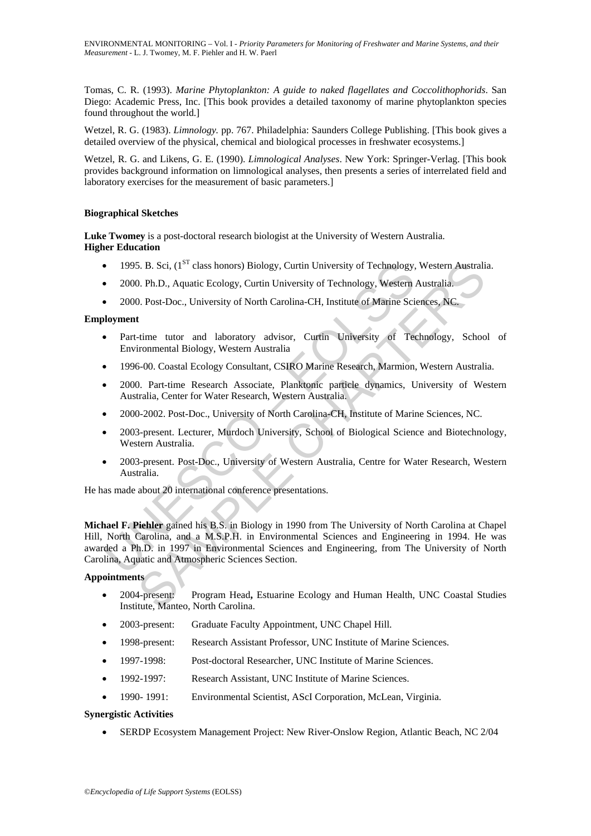Tomas, C. R. (1993). *Marine Phytoplankton: A guide to naked flagellates and Coccolithophorids*. San Diego: Academic Press, Inc. [This book provides a detailed taxonomy of marine phytoplankton species found throughout the world.]

Wetzel, R. G. (1983). *Limnology.* pp. 767. Philadelphia: Saunders College Publishing. [This book gives a detailed overview of the physical, chemical and biological processes in freshwater ecosystems.]

Wetzel, R. G. and Likens, G. E. (1990). *Limnological Analyses*. New York: Springer-Verlag. [This book provides background information on limnological analyses, then presents a series of interrelated field and laboratory exercises for the measurement of basic parameters.]

### **Biographical Sketches**

**Luke Twomey** is a post-doctoral research biologist at the University of Western Australia. **Higher Education**

- 1995. B. Sci,  $(1^{ST}$  class honors) Biology, Curtin University of Technology, Western Australia.
- 2000. Ph.D., Aquatic Ecology, Curtin University of Technology, Western Australia.
- 2000. Post-Doc., University of North Carolina-CH, Institute of Marine Sciences, NC.

### **Employment**

- Part-time tutor and laboratory advisor, Curtin University of Technology, School of Environmental Biology, Western Australia
- 1996-00. Coastal Ecology Consultant, CSIRO Marine Research, Marmion, Western Australia.
- 2000. Part-time Research Associate, Planktonic particle dynamics, University of Western Australia, Center for Water Research, Western Australia.
- 2000-2002. Post-Doc., University of North Carolina-CH, Institute of Marine Sciences, NC.
- 2003-present. Lecturer, Murdoch University, School of Biological Science and Biotechnology, Western Australia.
- 2003-present. Post-Doc., University of Western Australia, Centre for Water Research, Western Australia.

He has made about 20 international conference presentations.

1995. B. Sci, (1<sup>5T</sup> class honors) Biology, Curtin University of Technology,<br>
2000. Ph.D., Aquatic Ecology, Curtin University of Technology, Western<br>
2000. Post-Doc., University of North Carolina-CH, Institute of Marine Sc 5. B. Sci, (1<sup>97</sup> class honors) Biology, Curtin University of Technology, Western Australia<br>
2. Ph.D., Aquatic Ecology, Curtin University of Technology, Western Australia<br>
2. Post-Doc., University of North Carolina-CH, Ins **Michael F. Piehler** gained his B.S. in Biology in 1990 from The University of North Carolina at Chapel Hill, North Carolina, and a M.S.P.H. in Environmental Sciences and Engineering in 1994. He was awarded a Ph.D. in 1997 in Environmental Sciences and Engineering, from The University of North Carolina, Aquatic and Atmospheric Sciences Section.

### **Appointments**

- 2004-present: Program Head**,** Estuarine Ecology and Human Health, UNC Coastal Studies Institute, Manteo, North Carolina.
- 2003-present: Graduate Faculty Appointment, UNC Chapel Hill.
- 1998-present: Research Assistant Professor, UNC Institute of Marine Sciences.
- 1997-1998: Post-doctoral Researcher, UNC Institute of Marine Sciences.
- 1992-1997: Research Assistant, UNC Institute of Marine Sciences.
- 1990- 1991: Environmental Scientist, AScI Corporation, McLean, Virginia.

### **Synergistic Activities**

• SERDP Ecosystem Management Project: New River-Onslow Region, Atlantic Beach, NC 2/04